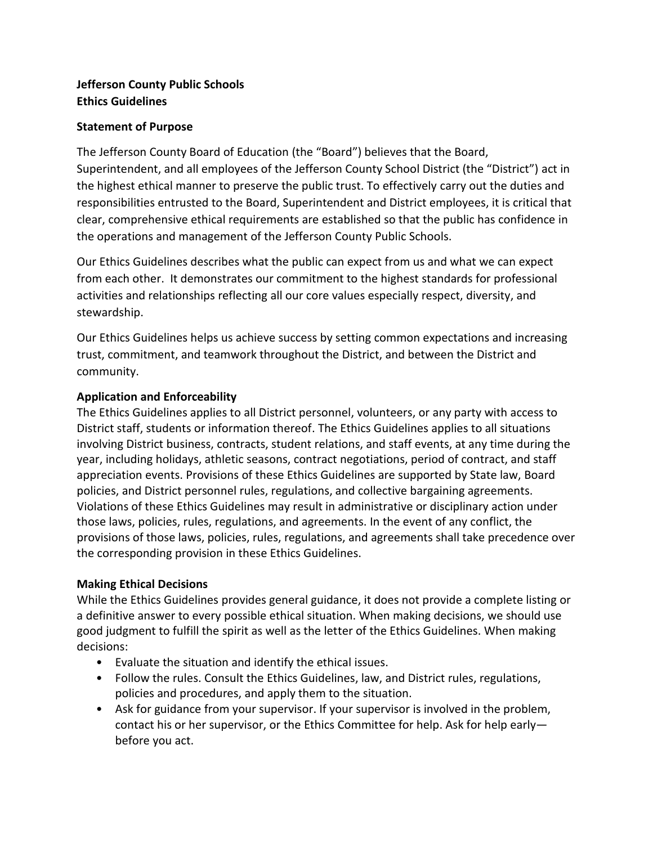# **Jefferson County Public Schools Ethics Guidelines**

### **Statement of Purpose**

The Jefferson County Board of Education (the "Board") believes that the Board, Superintendent, and all employees of the Jefferson County School District (the "District") act in the highest ethical manner to preserve the public trust. To effectively carry out the duties and responsibilities entrusted to the Board, Superintendent and District employees, it is critical that clear, comprehensive ethical requirements are established so that the public has confidence in the operations and management of the Jefferson County Public Schools.

Our Ethics Guidelines describes what the public can expect from us and what we can expect from each other. It demonstrates our commitment to the highest standards for professional activities and relationships reflecting all our core values especially respect, diversity, and stewardship.

Our Ethics Guidelines helps us achieve success by setting common expectations and increasing trust, commitment, and teamwork throughout the District, and between the District and community.

#### **Application and Enforceability**

The Ethics Guidelines applies to all District personnel, volunteers, or any party with access to District staff, students or information thereof. The Ethics Guidelines applies to all situations involving District business, contracts, student relations, and staff events, at any time during the year, including holidays, athletic seasons, contract negotiations, period of contract, and staff appreciation events. Provisions of these Ethics Guidelines are supported by State law, Board policies, and District personnel rules, regulations, and collective bargaining agreements. Violations of these Ethics Guidelines may result in administrative or disciplinary action under those laws, policies, rules, regulations, and agreements. In the event of any conflict, the provisions of those laws, policies, rules, regulations, and agreements shall take precedence over the corresponding provision in these Ethics Guidelines.

## **Making Ethical Decisions**

While the Ethics Guidelines provides general guidance, it does not provide a complete listing or a definitive answer to every possible ethical situation. When making decisions, we should use good judgment to fulfill the spirit as well as the letter of the Ethics Guidelines. When making decisions:

- Evaluate the situation and identify the ethical issues.
- Follow the rules. Consult the Ethics Guidelines, law, and District rules, regulations, policies and procedures, and apply them to the situation.
- Ask for guidance from your supervisor. If your supervisor is involved in the problem, contact his or her supervisor, or the Ethics Committee for help. Ask for help early before you act.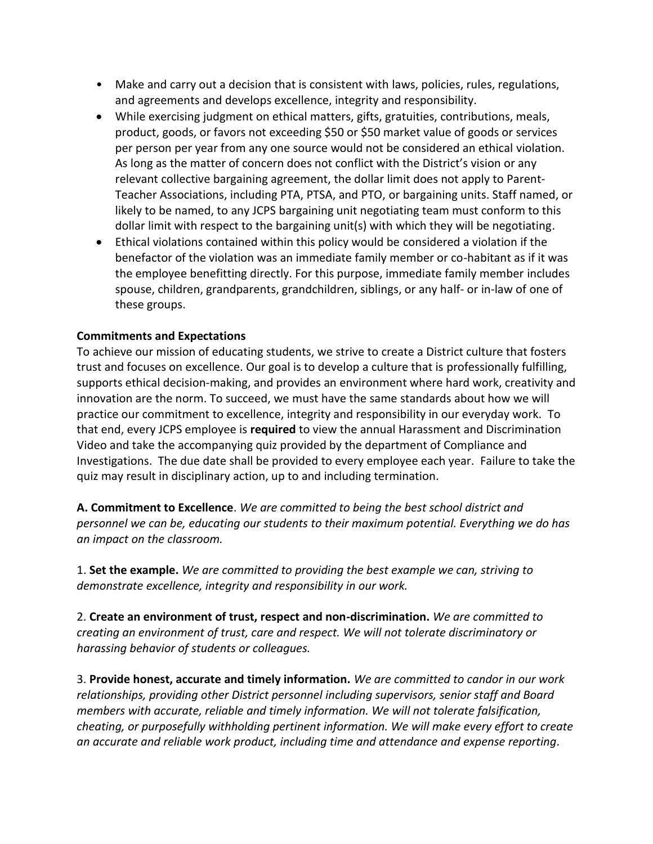- Make and carry out a decision that is consistent with laws, policies, rules, regulations, and agreements and develops excellence, integrity and responsibility.
- While exercising judgment on ethical matters, gifts, gratuities, contributions, meals, product, goods, or favors not exceeding \$50 or \$50 market value of goods or services per person per year from any one source would not be considered an ethical violation. As long as the matter of concern does not conflict with the District's vision or any relevant collective bargaining agreement, the dollar limit does not apply to Parent-Teacher Associations, including PTA, PTSA, and PTO, or bargaining units. Staff named, or likely to be named, to any JCPS bargaining unit negotiating team must conform to this dollar limit with respect to the bargaining unit(s) with which they will be negotiating.
- Ethical violations contained within this policy would be considered a violation if the benefactor of the violation was an immediate family member or co-habitant as if it was the employee benefitting directly. For this purpose, immediate family member includes spouse, children, grandparents, grandchildren, siblings, or any half- or in-law of one of these groups.

## **Commitments and Expectations**

To achieve our mission of educating students, we strive to create a District culture that fosters trust and focuses on excellence. Our goal is to develop a culture that is professionally fulfilling, supports ethical decision-making, and provides an environment where hard work, creativity and innovation are the norm. To succeed, we must have the same standards about how we will practice our commitment to excellence, integrity and responsibility in our everyday work. To that end, every JCPS employee is **required** to view the annual Harassment and Discrimination Video and take the accompanying quiz provided by the department of Compliance and Investigations. The due date shall be provided to every employee each year. Failure to take the quiz may result in disciplinary action, up to and including termination.

**A. Commitment to Excellence**. *We are committed to being the best school district and personnel we can be, educating our students to their maximum potential. Everything we do has an impact on the classroom.*

1. **Set the example.** *We are committed to providing the best example we can, striving to demonstrate excellence, integrity and responsibility in our work.*

2. **Create an environment of trust, respect and non-discrimination.** *We are committed to creating an environment of trust, care and respect. We will not tolerate discriminatory or harassing behavior of students or colleagues.*

3. **Provide honest, accurate and timely information.** *We are committed to candor in our work relationships, providing other District personnel including supervisors, senior staff and Board members with accurate, reliable and timely information. We will not tolerate falsification, cheating, or purposefully withholding pertinent information. We will make every effort to create an accurate and reliable work product, including time and attendance and expense reporting.*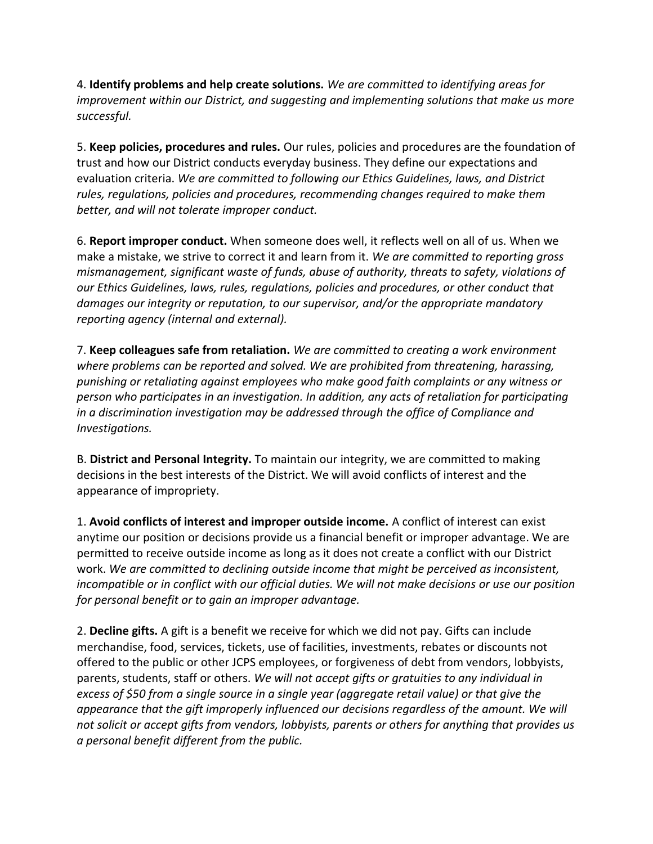4. **Identify problems and help create solutions.** *We are committed to identifying areas for improvement within our District, and suggesting and implementing solutions that make us more successful.*

5. **Keep policies, procedures and rules.** Our rules, policies and procedures are the foundation of trust and how our District conducts everyday business. They define our expectations and evaluation criteria. *We are committed to following our Ethics Guidelines, laws, and District rules, regulations, policies and procedures, recommending changes required to make them better, and will not tolerate improper conduct.*

6. **Report improper conduct.** When someone does well, it reflects well on all of us. When we make a mistake, we strive to correct it and learn from it. *We are committed to reporting gross mismanagement, significant waste of funds, abuse of authority, threats to safety, violations of our Ethics Guidelines, laws, rules, regulations, policies and procedures, or other conduct that damages our integrity or reputation, to our supervisor, and/or the appropriate mandatory reporting agency (internal and external).*

7. **Keep colleagues safe from retaliation.** *We are committed to creating a work environment where problems can be reported and solved. We are prohibited from threatening, harassing, punishing or retaliating against employees who make good faith complaints or any witness or person who participates in an investigation. In addition, any acts of retaliation for participating in a discrimination investigation may be addressed through the office of Compliance and Investigations.*

B. **District and Personal Integrity.** To maintain our integrity, we are committed to making decisions in the best interests of the District. We will avoid conflicts of interest and the appearance of impropriety.

1. **Avoid conflicts of interest and improper outside income.** A conflict of interest can exist anytime our position or decisions provide us a financial benefit or improper advantage. We are permitted to receive outside income as long as it does not create a conflict with our District work. *We are committed to declining outside income that might be perceived as inconsistent, incompatible or in conflict with our official duties. We will not make decisions or use our position for personal benefit or to gain an improper advantage.*

2. **Decline gifts.** A gift is a benefit we receive for which we did not pay. Gifts can include merchandise, food, services, tickets, use of facilities, investments, rebates or discounts not offered to the public or other JCPS employees, or forgiveness of debt from vendors, lobbyists, parents, students, staff or others. *We will not accept gifts or gratuities to any individual in excess of \$50 from a single source in a single year (aggregate retail value) or that give the appearance that the gift improperly influenced our decisions regardless of the amount. We will not solicit or accept gifts from vendors, lobbyists, parents or others for anything that provides us a personal benefit different from the public.*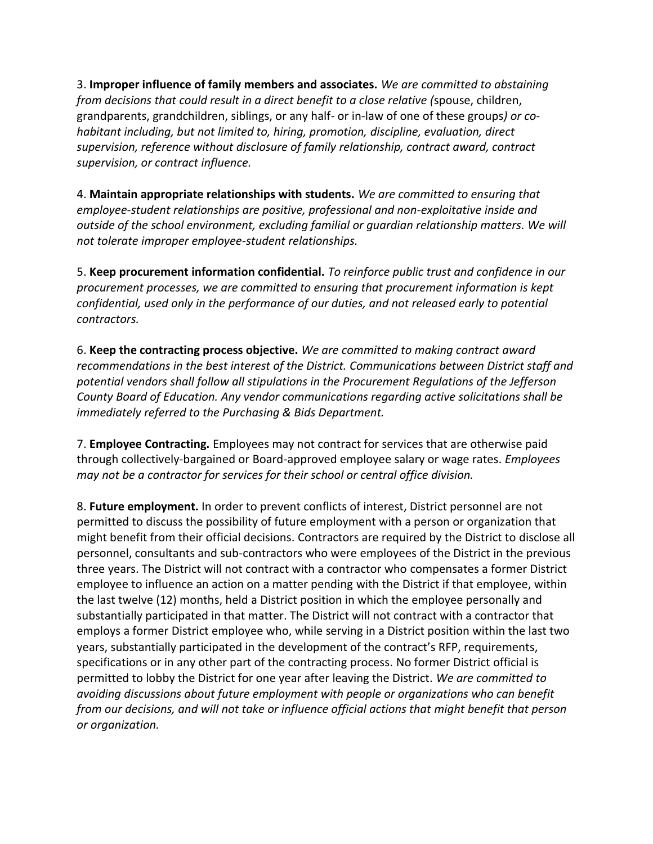3. **Improper influence of family members and associates.** *We are committed to abstaining from decisions that could result in a direct benefit to a close relative (*spouse, children, grandparents, grandchildren, siblings, or any half- or in-law of one of these groups*) or cohabitant including, but not limited to, hiring, promotion, discipline, evaluation, direct supervision, reference without disclosure of family relationship, contract award, contract supervision, or contract influence.*

4. **Maintain appropriate relationships with students.** *We are committed to ensuring that employee-student relationships are positive, professional and non-exploitative inside and outside of the school environment, excluding familial or guardian relationship matters. We will not tolerate improper employee-student relationships.*

5. **Keep procurement information confidential.** *To reinforce public trust and confidence in our procurement processes, we are committed to ensuring that procurement information is kept confidential, used only in the performance of our duties, and not released early to potential contractors.*

6. **Keep the contracting process objective.** *We are committed to making contract award recommendations in the best interest of the District. Communications between District staff and potential vendors shall follow all stipulations in the Procurement Regulations of the Jefferson County Board of Education. Any vendor communications regarding active solicitations shall be immediately referred to the Purchasing & Bids Department.* 

7. **Employee Contracting.** Employees may not contract for services that are otherwise paid through collectively-bargained or Board-approved employee salary or wage rates. *Employees may not be a contractor for services for their school or central office division.* 

8. **Future employment.** In order to prevent conflicts of interest, District personnel are not permitted to discuss the possibility of future employment with a person or organization that might benefit from their official decisions. Contractors are required by the District to disclose all personnel, consultants and sub-contractors who were employees of the District in the previous three years. The District will not contract with a contractor who compensates a former District employee to influence an action on a matter pending with the District if that employee, within the last twelve (12) months, held a District position in which the employee personally and substantially participated in that matter. The District will not contract with a contractor that employs a former District employee who, while serving in a District position within the last two years, substantially participated in the development of the contract's RFP, requirements, specifications or in any other part of the contracting process. No former District official is permitted to lobby the District for one year after leaving the District. *We are committed to avoiding discussions about future employment with people or organizations who can benefit from our decisions, and will not take or influence official actions that might benefit that person or organization.*